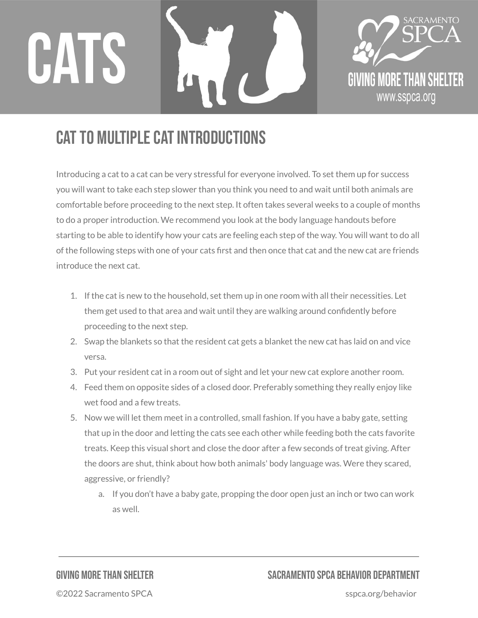



## CAT TO MULTIPLE CAT INTRODUCTIONS

Introducing a cat to a cat can be very stressful for everyone involved. To set them up for success you will want to take each step slower than you think you need to and wait until both animals are comfortable before proceeding to the next step. It often takes several weeks to a couple of months to do a proper introduction. We recommend you look at the body language handouts before starting to be able to identify how your cats are feeling each step of the way. You will want to do all of the following steps with one of your cats first and then once that cat and the new cat are friends introduce the next cat.

- 1. If the cat is new to the household, set them up in one room with all their necessities. Let them get used to that area and wait until they are walking around confidently before proceeding to the next step.
- 2. Swap the blankets so that the resident cat gets a blanket the new cat has laid on and vice versa.
- 3. Put your resident cat in a room out of sight and let your new cat explore another room.
- 4. Feed them on opposite sides of a closed door. Preferably something they really enjoy like wet food and a few treats.
- 5. Now we will let them meet in a controlled, small fashion. If you have a baby gate, setting that up in the door and letting the cats see each other while feeding both the cats favorite treats. Keep this visual short and close the door after a few seconds of treat giving. After the doors are shut, think about how both animals' body language was. Were they scared, aggressive, or friendly?
	- a. If you don't have a baby gate, propping the door open just an inch or two can work as well.

## GIVING MORETHAN SHELTER SACRAMENTO SPCA BEHAVIOR DEPARTMENT

©2022 Sacramento SPCA sspca.org/behavior